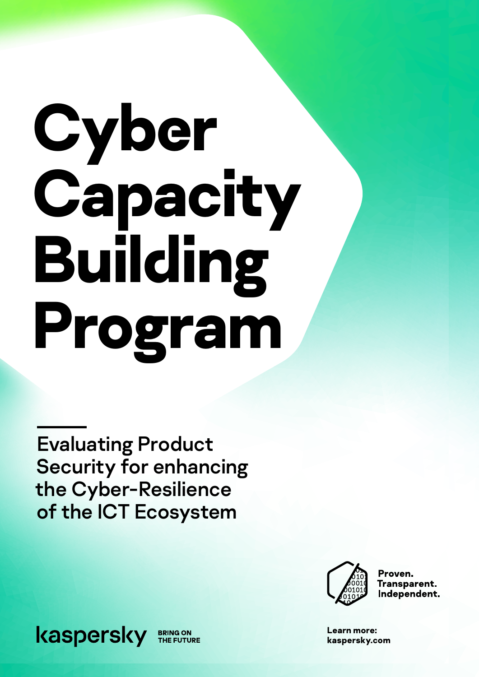# **Сyber Capacity Building Program**

Evaluating Product Security for enhancing the Cyber-Resilience of the ICT Ecosystem



Proven. Transparent. Independent.

**Learn more: [kaspersky.](http://www.kaspersky.com)com** 

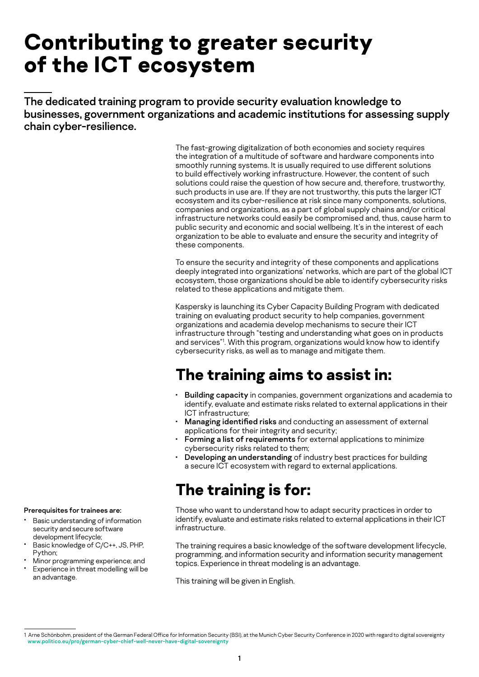## **Contributing to greater security of the ICT ecosystem**

The dedicated training program to provide security evaluation knowledge to businesses, government organizations and academic institutions for assessing supply chain cyber-resilience.

> The fast-growing digitalization of both economies and society requires the integration of a multitude of software and hardware components into smoothly running systems. It is usually required to use different solutions to build effectively working infrastructure. However, the content of such solutions could raise the question of how secure and, therefore, trustworthy, such products in use are. If they are not trustworthy, this puts the larger ICT ecosystem and its cyber-resilience at risk since many components, solutions, companies and organizations, as a part of global supply chains and/or critical infrastructure networks could easily be compromised and, thus, cause harm to public security and economic and social wellbeing. It's in the interest of each organization to be able to evaluate and ensure the security and integrity of these components.

> To ensure the security and integrity of these components and applications deeply integrated into organizations' networks, which are part of the global ICT ecosystem, those organizations should be able to identify cybersecurity risks related to these applications and mitigate them.

Kaspersky is launching its Cyber Capacity Building Program with dedicated training on evaluating product security to help companies, government organizations and academia develop mechanisms to secure their ICT infrastructure through "testing and understanding what goes on in products and services"1 . With this program, organizations would know how to identify cybersecurity risks, as well as to manage and mitigate them.

## **The training aims to assist in:**

- Building capacity in companies, government organizations and academia to identify, evaluate and estimate risks related to external applications in their ICT infrastructure;
- Managing identified risks and conducting an assessment of external applications for their integrity and security;
- Forming a list of requirements for external applications to minimize cybersecurity risks related to them;
- Developing an understanding of industry best practices for building a secure ICT ecosystem with regard to external applications.

## **The training is for:**

Those who want to understand how to adapt security practices in order to identify, evaluate and estimate risks related to external applications in their ICT infrastructure.

The training requires a basic knowledge of the software development lifecycle, programming, and information security and information security management topics. Experience in threat modeling is an advantage.

This training will be given in English.

- Basic understanding of information security and secure software development lifecycle;
- Basic knowledge of C/C++, JS, PHP, Python;
- Minor programming experience; and Experience in threat modelling will be

Prerequisites for trainees are:

an advantage.

<sup>1</sup> Arne Schönbohm, president of the German Federal Office for Information Security (BSI), at the Munich Cyber Security Conference in 2020 with regard to digital sovereignty www.politico.eu/pro/german-cyber-chief-well-never-have-digital-sovereignty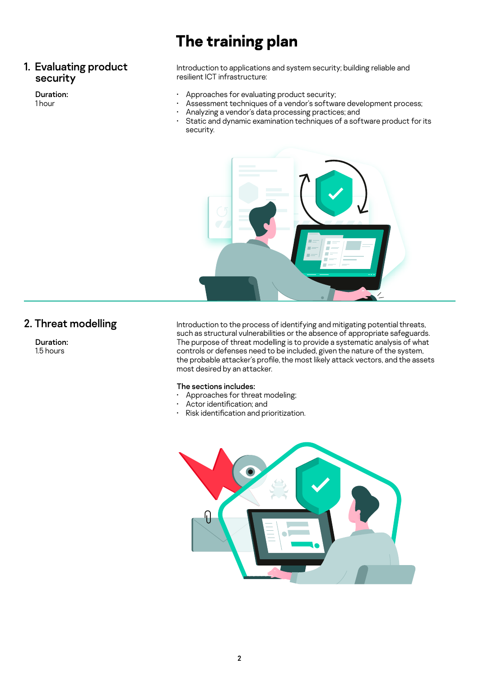## **The training plan**

#### 1. Evaluating product security

#### Duration:

1 hour

Introduction to applications and system security; building reliable and resilient ICT infrastructure:

- Approaches for evaluating product security;
- Assessment techniques of a vendor's software development process;
- Analyzing a vendor's data processing practices; and
- Static and dynamic examination techniques of a software product for its security.



#### 2. Threat modelling

Duration: 1.5 hours

Introduction to the process of identifying and mitigating potential threats, such as structural vulnerabilities or the absence of appropriate safeguards. The purpose of threat modelling is to provide a systematic analysis of what controls or defenses need to be included, given the nature of the system, the probable attacker's profile, the most likely attack vectors, and the assets most desired by an attacker.

#### The sections includes:

- Approaches for threat modeling;
- Actor identification; and
- Risk identification and prioritization.

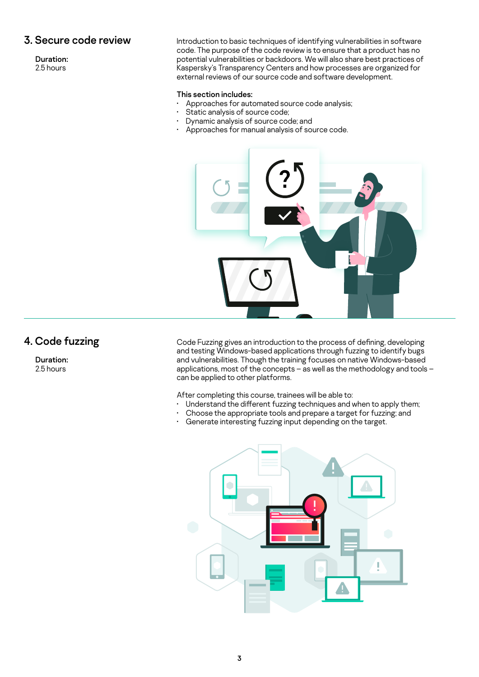#### 3. Secure code review

Duration: 2.5 hours

Introduction to basic techniques of identifying vulnerabilities in software code. The purpose of the code review is to ensure that a product has no potential vulnerabilities or backdoors. We will also share best practices of Kaspersky's Transparency Centers and how processes are organized for external reviews of our source code and software development.

#### This section includes:

- Approaches for automated source code analysis;
- Static analysis of source code;
- Dynamic analysis of source code; and
- Approaches for manual analysis of source code.



#### 4. Code fuzzing

Duration: 2.5 hours

Code Fuzzing gives an introduction to the process of defining, developing and testing Windows-based applications through fuzzing to identify bugs and vulnerabilities. Though the training focuses on native Windows-based applications, most of the concepts – as well as the methodology and tools – can be applied to other platforms.

After completing this course, trainees will be able to:

- Understand the different fuzzing techniques and when to apply them;
- Choose the appropriate tools and prepare a target for fuzzing; and<br>• Generate interesting fuzzing input depending on the target
- Generate interesting fuzzing input depending on the target.